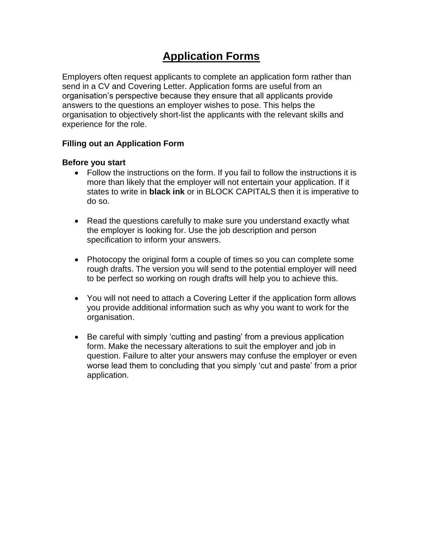# **Application Forms**

Employers often request applicants to complete an application form rather than send in a CV and Covering Letter. Application forms are useful from an organisation's perspective because they ensure that all applicants provide answers to the questions an employer wishes to pose. This helps the organisation to objectively short-list the applicants with the relevant skills and experience for the role.

## **Filling out an Application Form**

#### **Before you start**

- Follow the instructions on the form. If you fail to follow the instructions it is more than likely that the employer will not entertain your application. If it states to write in **black ink** or in BLOCK CAPITALS then it is imperative to do so.
- Read the questions carefully to make sure you understand exactly what the employer is looking for. Use the job description and person specification to inform your answers.
- Photocopy the original form a couple of times so you can complete some rough drafts. The version you will send to the potential employer will need to be perfect so working on rough drafts will help you to achieve this.
- You will not need to attach a Covering Letter if the application form allows you provide additional information such as why you want to work for the organisation.
- Be careful with simply 'cutting and pasting' from a previous application form. Make the necessary alterations to suit the employer and job in question. Failure to alter your answers may confuse the employer or even worse lead them to concluding that you simply 'cut and paste' from a prior application.